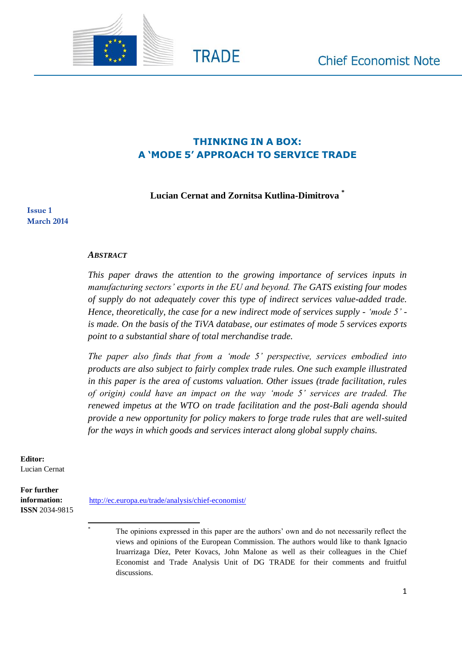

# **THINKING IN A BOX: A 'MODE 5' APPROACH TO SERVICE TRADE**

**TRADE** 

#### **Lucian Cernat and Zornitsa Kutlina-Dimitrova \***

**Issue 1 March 2014**

#### *ABSTRACT*

*This paper draws the attention to the growing importance of services inputs in manufacturing sectors' exports in the EU and beyond. The GATS existing four modes of supply do not adequately cover this type of indirect services value-added trade. Hence, theoretically, the case for a new indirect mode of services supply - 'mode 5' is made. On the basis of the TiVA database, our estimates of mode 5 services exports point to a substantial share of total merchandise trade.* 

*The paper also finds that from a 'mode 5' perspective, services embodied into products are also subject to fairly complex trade rules. One such example illustrated in this paper is the area of customs valuation. Other issues (trade facilitation, rules of origin) could have an impact on the way 'mode 5' services are traded. The renewed impetus at the WTO on trade facilitation and the post-Bali agenda should provide a new opportunity for policy makers to forge trade rules that are well-suited for the ways in which goods and services interact along global supply chains.*

**Editor:**  Lucian Cernat

**For further information: ISSN** 2034-9815

 $\overline{\phantom{a}}$ 

<http://ec.europa.eu/trade/analysis/chief-economist/>

The opinions expressed in this paper are the authors' own and do not necessarily reflect the views and opinions of the European Commission. The authors would like to thank Ignacio Iruarrizaga Díez, Peter Kovacs, John Malone as well as their colleagues in the Chief Economist and Trade Analysis Unit of DG TRADE for their comments and fruitful discussions.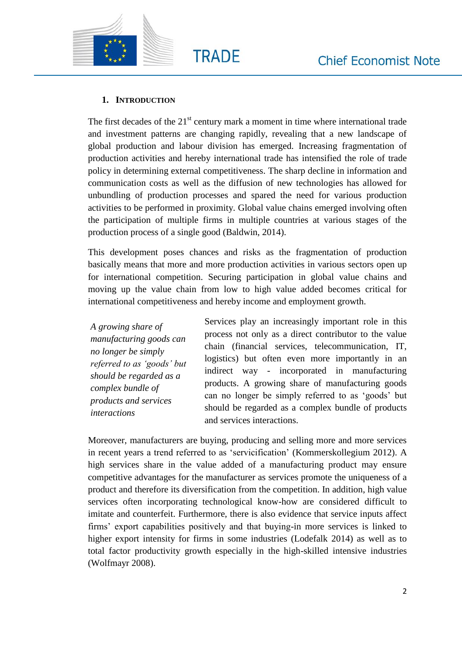

# **1. INTRODUCTION**

The first decades of the  $21<sup>st</sup>$  century mark a moment in time where international trade and investment patterns are changing rapidly, revealing that a new landscape of global production and labour division has emerged. Increasing fragmentation of production activities and hereby international trade has intensified the role of trade policy in determining external competitiveness. The sharp decline in information and communication costs as well as the diffusion of new technologies has allowed for unbundling of production processes and spared the need for various production activities to be performed in proximity. Global value chains emerged involving often the participation of multiple firms in multiple countries at various stages of the production process of a single good (Baldwin, 2014).

This development poses chances and risks as the fragmentation of production basically means that more and more production activities in various sectors open up for international competition. Securing participation in global value chains and moving up the value chain from low to high value added becomes critical for international competitiveness and hereby income and employment growth.

*A growing share of manufacturing goods can no longer be simply referred to as 'goods' but should be regarded as a complex bundle of products and services interactions*

Services play an increasingly important role in this process not only as a direct contributor to the value chain (financial services, telecommunication, IT, logistics) but often even more importantly in an indirect way - incorporated in manufacturing products. A growing share of manufacturing goods can no longer be simply referred to as 'goods' but should be regarded as a complex bundle of products and services interactions.

Moreover, manufacturers are buying, producing and selling more and more services in recent years a trend referred to as 'servicification' (Kommerskollegium 2012). A high services share in the value added of a manufacturing product may ensure competitive advantages for the manufacturer as services promote the uniqueness of a product and therefore its diversification from the competition. In addition, high value services often incorporating technological know-how are considered difficult to imitate and counterfeit. Furthermore, there is also evidence that service inputs affect firms' export capabilities positively and that buying-in more services is linked to higher export intensity for firms in some industries (Lodefalk 2014) as well as to total factor productivity growth especially in the high-skilled intensive industries (Wolfmayr 2008).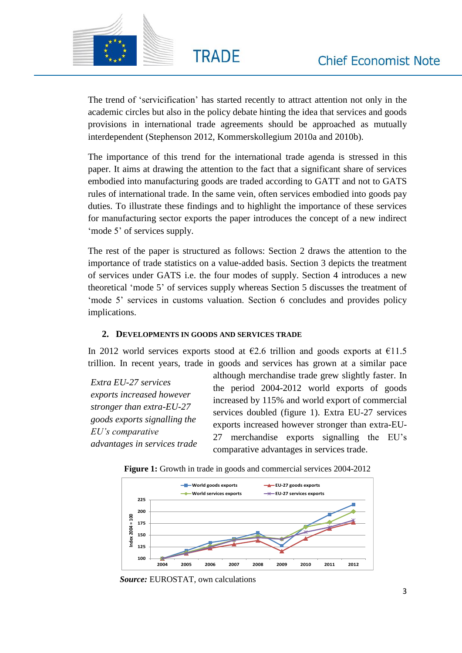

The trend of 'servicification' has started recently to attract attention not only in the academic circles but also in the policy debate hinting the idea that services and goods provisions in international trade agreements should be approached as mutually interdependent (Stephenson 2012, Kommerskollegium 2010a and 2010b).

**TRADE** 

The importance of this trend for the international trade agenda is stressed in this paper. It aims at drawing the attention to the fact that a significant share of services embodied into manufacturing goods are traded according to GATT and not to GATS rules of international trade. In the same vein, often services embodied into goods pay duties. To illustrate these findings and to highlight the importance of these services for manufacturing sector exports the paper introduces the concept of a new indirect 'mode 5' of services supply.

The rest of the paper is structured as follows: Section 2 draws the attention to the importance of trade statistics on a value-added basis. Section 3 depicts the treatment of services under GATS i.e. the four modes of supply. Section 4 introduces a new theoretical 'mode 5' of services supply whereas Section 5 discusses the treatment of 'mode 5' services in customs valuation. Section 6 concludes and provides policy implications.

# **2. DEVELOPMENTS IN GOODS AND SERVICES TRADE**

In 2012 world services exports stood at  $\epsilon$ 2.6 trillion and goods exports at  $\epsilon$ 11.5 trillion. In recent years, trade in goods and services has grown at a similar pace

*Extra EU-27 services exports increased however stronger than extra-EU-27 goods exports signalling the EU's comparative advantages in services trade* although merchandise trade grew slightly faster. In the period 2004-2012 world exports of goods increased by 115% and world export of commercial services doubled (figure 1). Extra EU-27 services exports increased however stronger than extra-EU-27 merchandise exports signalling the EU's comparative advantages in services trade.



**Figure 1:** Growth in trade in goods and commercial services 2004-2012

*Source:* EUROSTAT, own calculations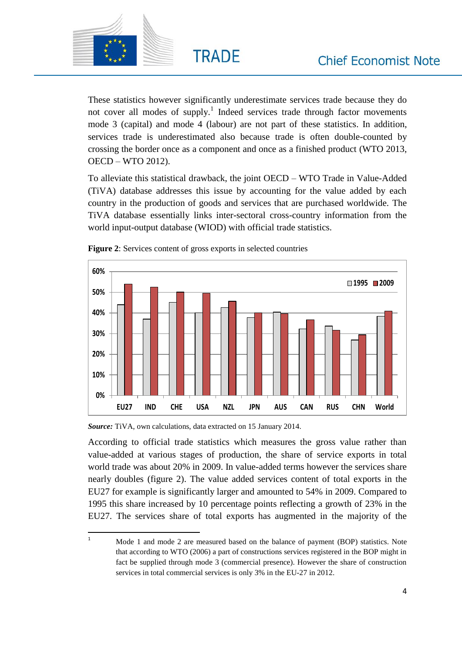

These statistics however significantly underestimate services trade because they do not cover all modes of supply.<sup>1</sup> Indeed services trade through factor movements mode 3 (capital) and mode 4 (labour) are not part of these statistics. In addition, services trade is underestimated also because trade is often double-counted by crossing the border once as a component and once as a finished product (WTO 2013, OECD – WTO 2012).

**TRADE** 

To alleviate this statistical drawback, the joint OECD – WTO Trade in Value-Added (TiVA) database addresses this issue by accounting for the value added by each country in the production of goods and services that are purchased worldwide. The TiVA database essentially links inter-sectoral cross-country information from the world input-output database (WIOD) with official trade statistics.





According to official trade statistics which measures the gross value rather than value-added at various stages of production, the share of service exports in total world trade was about 20% in 2009. In value-added terms however the services share nearly doubles (figure 2). The value added services content of total exports in the EU27 for example is significantly larger and amounted to 54% in 2009. Compared to 1995 this share increased by 10 percentage points reflecting a growth of 23% in the EU27. The services share of total exports has augmented in the majority of the

*Source:* TiVA, own calculations, data extracted on 15 January 2014.

 $\overline{1}$ Mode 1 and mode 2 are measured based on the balance of payment (BOP) statistics. Note that according to WTO (2006) a part of constructions services registered in the BOP might in fact be supplied through mode 3 (commercial presence). However the share of construction services in total commercial services is only 3% in the EU-27 in 2012.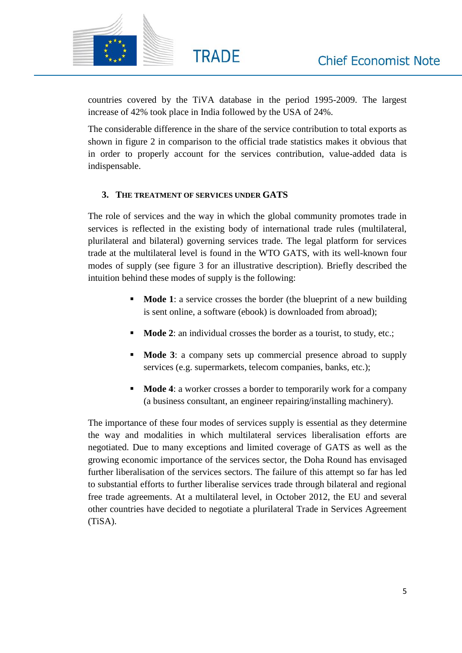

countries covered by the TiVA database in the period 1995-2009. The largest increase of 42% took place in India followed by the USA of 24%.

**TRADE** 

The considerable difference in the share of the service contribution to total exports as shown in figure 2 in comparison to the official trade statistics makes it obvious that in order to properly account for the services contribution, value-added data is indispensable.

# **3. THE TREATMENT OF SERVICES UNDER GATS**

The role of services and the way in which the global community promotes trade in services is reflected in the existing body of international trade rules (multilateral, plurilateral and bilateral) governing services trade. The legal platform for services trade at the multilateral level is found in the WTO GATS, with its well-known four modes of supply (see figure 3 for an illustrative description). Briefly described the intuition behind these modes of supply is the following:

- **Mode 1:** a service crosses the border (the blueprint of a new building is sent online, a software (ebook) is downloaded from abroad);
- **Mode 2:** an individual crosses the border as a tourist, to study, etc.;
- **Mode 3**: a company sets up commercial presence abroad to supply services (e.g. supermarkets, telecom companies, banks, etc.);
- **Mode 4:** a worker crosses a border to temporarily work for a company (a business consultant, an engineer repairing/installing machinery).

The importance of these four modes of services supply is essential as they determine the way and modalities in which multilateral services liberalisation efforts are negotiated. Due to many exceptions and limited coverage of GATS as well as the growing economic importance of the services sector, the Doha Round has envisaged further liberalisation of the services sectors. The failure of this attempt so far has led to substantial efforts to further liberalise services trade through bilateral and regional free trade agreements. At a multilateral level, in October 2012, the EU and several other countries have decided to negotiate a plurilateral Trade in Services Agreement (TiSA).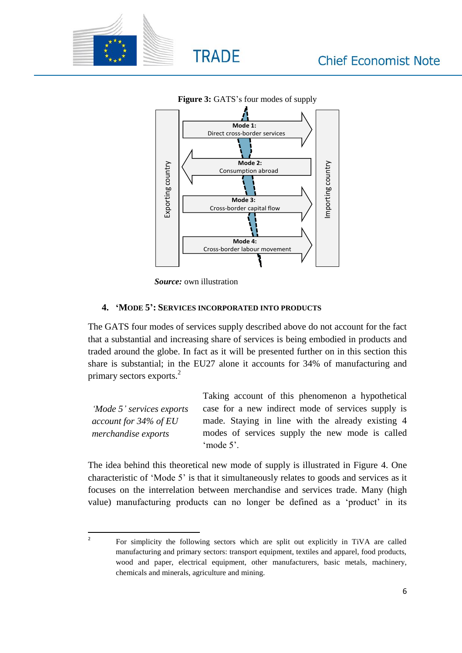



**Figure 3:** GATS's four modes of supply

 *Source:* own illustration

#### **4. 'MODE 5': SERVICES INCORPORATED INTO PRODUCTS**

The GATS four modes of services supply described above do not account for the fact that a substantial and increasing share of services is being embodied in products and traded around the globe. In fact as it will be presented further on in this section this share is substantial; in the EU27 alone it accounts for 34% of manufacturing and primary sectors exports.<sup>2</sup>

*'Mode 5' services exports account for 34% of EU merchandise exports* Taking account of this phenomenon a hypothetical case for a new indirect mode of services supply is made. Staying in line with the already existing 4 modes of services supply the new mode is called 'mode 5'.

The idea behind this theoretical new mode of supply is illustrated in Figure 4. One characteristic of 'Mode 5' is that it simultaneously relates to goods and services as it focuses on the interrelation between merchandise and services trade. Many (high value) manufacturing products can no longer be defined as a 'product' in its

 $\overline{2}$ For simplicity the following sectors which are split out explicitly in TiVA are called manufacturing and primary sectors: transport equipment, textiles and apparel, food products, wood and paper, electrical equipment, other manufacturers, basic metals, machinery, chemicals and minerals, agriculture and mining.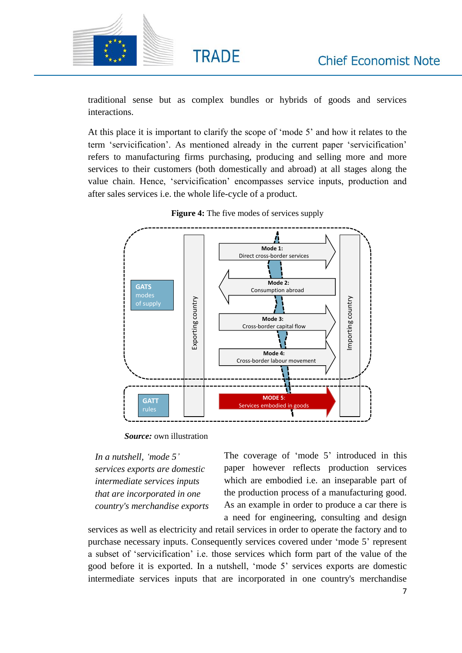

traditional sense but as complex bundles or hybrids of goods and services interactions.

**TRADE** 

At this place it is important to clarify the scope of 'mode 5' and how it relates to the term 'servicification'. As mentioned already in the current paper 'servicification' refers to manufacturing firms purchasing, producing and selling more and more services to their customers (both domestically and abroad) at all stages along the value chain. Hence, 'servicification' encompasses service inputs, production and after sales services i.e. the whole life-cycle of a product.



| <b>Figure 4:</b> The five modes of services supply |  |  |  |  |  |
|----------------------------------------------------|--|--|--|--|--|
|----------------------------------------------------|--|--|--|--|--|

 *Source:* own illustration

*In a nutshell, 'mode 5' services exports are domestic intermediate services inputs that are incorporated in one country's merchandise exports* The coverage of 'mode 5' introduced in this paper however reflects production services which are embodied i.e. an inseparable part of the production process of a manufacturing good. As an example in order to produce a car there is a need for engineering, consulting and design

services as well as electricity and retail services in order to operate the factory and to purchase necessary inputs. Consequently services covered under 'mode 5' represent a subset of 'servicification' i.e. those services which form part of the value of the good before it is exported. In a nutshell, 'mode 5' services exports are domestic intermediate services inputs that are incorporated in one country's merchandise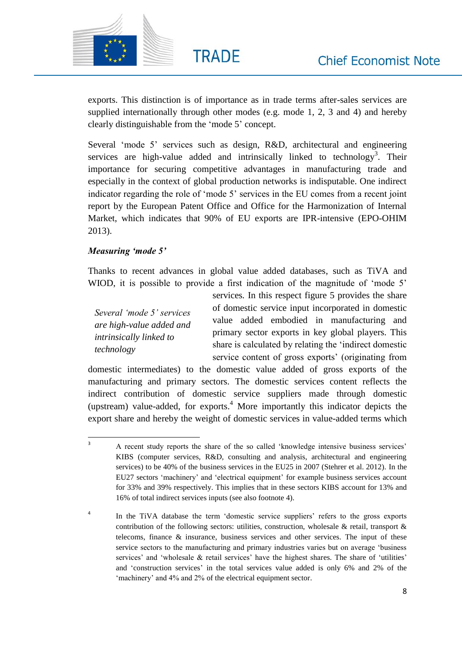

exports. This distinction is of importance as in trade terms after-sales services are supplied internationally through other modes (e.g. mode 1, 2, 3 and 4) and hereby clearly distinguishable from the 'mode 5' concept.

**TRADE** 

Several 'mode 5' services such as design, R&D, architectural and engineering services are high-value added and intrinsically linked to technology<sup>3</sup>. Their importance for securing competitive advantages in manufacturing trade and especially in the context of global production networks is indisputable. One indirect indicator regarding the role of 'mode 5' services in the EU comes from a recent joint report by the European Patent Office and Office for the Harmonization of Internal Market, which indicates that 90% of EU exports are IPR-intensive (EPO-OHIM 2013).

# *Measuring 'mode 5'*

Thanks to recent advances in global value added databases, such as TiVA and WIOD, it is possible to provide a first indication of the magnitude of 'mode 5'

*Several 'mode 5' services are high-value added and intrinsically linked to technology*

services*.* In this respect figure 5 provides the share of domestic service input incorporated in domestic value added embodied in manufacturing and primary sector exports in key global players. This share is calculated by relating the 'indirect domestic service content of gross exports' (originating from

domestic intermediates) to the domestic value added of gross exports of the manufacturing and primary sectors. The domestic services content reflects the indirect contribution of domestic service suppliers made through domestic (upstream) value-added, for exports.<sup>4</sup> More importantly this indicator depicts the export share and hereby the weight of domestic services in value-added terms which

 $\overline{3}$ <sup>3</sup> A recent study reports the share of the so called 'knowledge intensive business services' KIBS (computer services, R&D, consulting and analysis, architectural and engineering services) to be 40% of the business services in the EU25 in 2007 (Stehrer et al. 2012). In the EU27 sectors 'machinery' and 'electrical equipment' for example business services account for 33% and 39% respectively. This implies that in these sectors KIBS account for 13% and 16% of total indirect services inputs (see also footnote 4).

<sup>4</sup> In the TiVA database the term 'domestic service suppliers' refers to the gross exports contribution of the following sectors: utilities, construction, wholesale  $\&$  retail, transport  $\&$ telecoms, finance  $\&$  insurance, business services and other services. The input of these service sectors to the manufacturing and primary industries varies but on average 'business services' and 'wholesale & retail services' have the highest shares. The share of 'utilities' and 'construction services' in the total services value added is only 6% and 2% of the 'machinery' and 4% and 2% of the electrical equipment sector.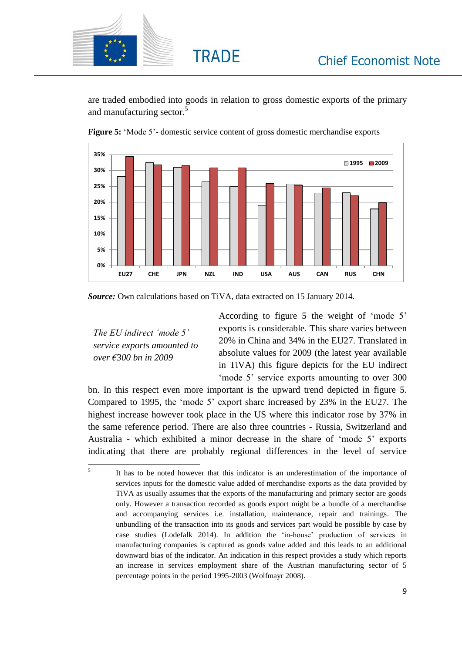

are traded embodied into goods in relation to gross domestic exports of the primary and manufacturing sector.<sup>5</sup>



**Figure 5:** 'Mode 5'- domestic service content of gross domestic merchandise exports

**TRADE** 

*Source:* Own calculations based on TiVA, data extracted on 15 January 2014.

*The EU indirect 'mode 5' service exports amounted to over €300 bn in 2009*

According to figure 5 the weight of 'mode 5' exports is considerable. This share varies between 20% in China and 34% in the EU27. Translated in absolute values for 2009 (the latest year available in TiVA) this figure depicts for the EU indirect 'mode 5' service exports amounting to over 300

bn. In this respect even more important is the upward trend depicted in figure 5. Compared to 1995, the 'mode 5' export share increased by 23% in the EU27. The highest increase however took place in the US where this indicator rose by 37% in the same reference period. There are also three countries - Russia, Switzerland and Australia - which exhibited a minor decrease in the share of 'mode 5' exports indicating that there are probably regional differences in the level of service

<sup>-&</sup>lt;br>5 It has to be noted however that this indicator is an underestimation of the importance of services inputs for the domestic value added of merchandise exports as the data provided by TiVA as usually assumes that the exports of the manufacturing and primary sector are goods only. However a transaction recorded as goods export might be a bundle of a merchandise and accompanying services i.e. installation, maintenance, repair and trainings. The unbundling of the transaction into its goods and services part would be possible by case by case studies (Lodefalk 2014). In addition the 'in-house' production of services in manufacturing companies is captured as goods value added and this leads to an additional downward bias of the indicator. An indication in this respect provides a study which reports an increase in services employment share of the Austrian manufacturing sector of 5 percentage points in the period 1995-2003 (Wolfmayr 2008).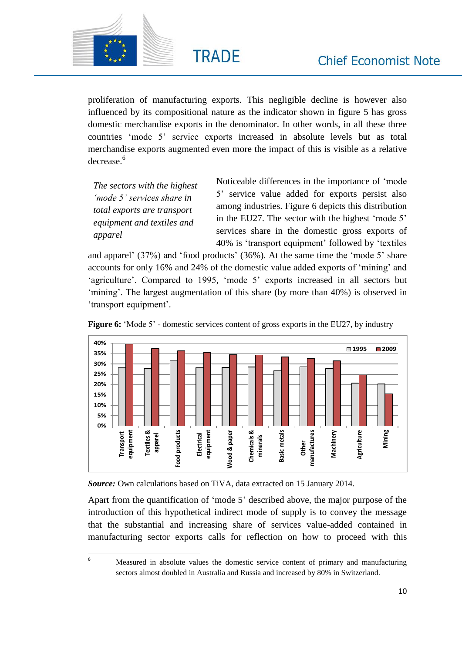

proliferation of manufacturing exports. This negligible decline is however also influenced by its compositional nature as the indicator shown in figure 5 has gross domestic merchandise exports in the denominator. In other words, in all these three countries 'mode 5' service exports increased in absolute levels but as total merchandise exports augmented even more the impact of this is visible as a relative decrease.<sup>6</sup>

**TRADE** 

*The sectors with the highest 'mode 5' services share in total exports are transport equipment and textiles and apparel*

Noticeable differences in the importance of 'mode 5' service value added for exports persist also among industries. Figure 6 depicts this distribution in the EU27. The sector with the highest 'mode 5' services share in the domestic gross exports of 40% is 'transport equipment' followed by 'textiles

and apparel' (37%) and 'food products' (36%). At the same time the 'mode 5' share accounts for only 16% and 24% of the domestic value added exports of 'mining' and 'agriculture'. Compared to 1995, 'mode 5' exports increased in all sectors but 'mining'. The largest augmentation of this share (by more than 40%) is observed in 'transport equipment'.





*Source:* Own calculations based on TiVA, data extracted on 15 January 2014.

Apart from the quantification of 'mode 5' described above, the major purpose of the introduction of this hypothetical indirect mode of supply is to convey the message that the substantial and increasing share of services value-added contained in manufacturing sector exports calls for reflection on how to proceed with this

 $\overline{6}$ 

<sup>6</sup> Measured in absolute values the domestic service content of primary and manufacturing sectors almost doubled in Australia and Russia and increased by 80% in Switzerland.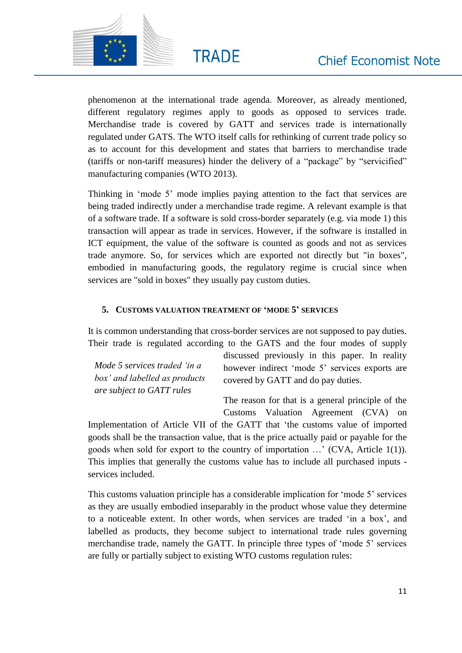

phenomenon at the international trade agenda. Moreover, as already mentioned, different regulatory regimes apply to goods as opposed to services trade. Merchandise trade is covered by GATT and services trade is internationally regulated under GATS. The WTO itself calls for rethinking of current trade policy so as to account for this development and states that barriers to merchandise trade (tariffs or non-tariff measures) hinder the delivery of a "package" by "servicified" manufacturing companies (WTO 2013).

Thinking in 'mode 5' mode implies paying attention to the fact that services are being traded indirectly under a merchandise trade regime. A relevant example is that of a software trade. If a software is sold cross-border separately (e.g. via mode 1) this transaction will appear as trade in services. However, if the software is installed in ICT equipment, the value of the software is counted as goods and not as services trade anymore. So, for services which are exported not directly but "in boxes", embodied in manufacturing goods, the regulatory regime is crucial since when services are "sold in boxes" they usually pay custom duties.

### **5. CUSTOMS VALUATION TREATMENT OF 'MODE 5' SERVICES**

It is common understanding that cross-border services are not supposed to pay duties. Their trade is regulated according to the GATS and the four modes of supply

|                               | discussed previously in this paper. In reality |
|-------------------------------|------------------------------------------------|
| Mode 5 services traded 'in a  | however indirect 'mode 5' services exports are |
| box' and labelled as products | covered by GATT and do pay duties.             |
| are subject to GATT rules     |                                                |

The reason for that is a general principle of the Customs Valuation Agreement (CVA) on

Implementation of Article VII of the GATT that 'the customs value of imported goods shall be the transaction value, that is the price actually paid or payable for the goods when sold for export to the country of importation …' (CVA, Article 1(1)). This implies that generally the customs value has to include all purchased inputs services included.

This customs valuation principle has a considerable implication for 'mode 5' services as they are usually embodied inseparably in the product whose value they determine to a noticeable extent. In other words, when services are traded 'in a box', and labelled as products, they become subject to international trade rules governing merchandise trade, namely the GATT. In principle three types of 'mode 5' services are fully or partially subject to existing WTO customs regulation rules: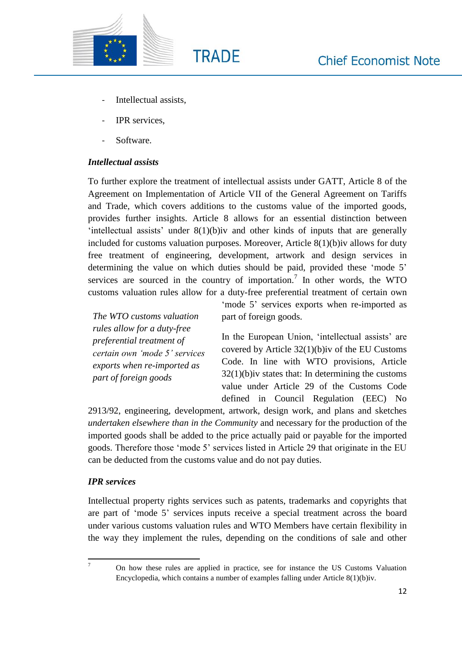

- Intellectual assists.
- IPR services.
- Software.

# *Intellectual assists*

To further explore the treatment of intellectual assists under GATT, Article 8 of the Agreement on Implementation of Article VII of the General Agreement on Tariffs and Trade, which covers additions to the customs value of the imported goods, provides further insights. Article 8 allows for an essential distinction between 'intellectual assists' under 8(1)(b)iv and other kinds of inputs that are generally included for customs valuation purposes. Moreover, Article 8(1)(b)iv allows for duty free treatment of engineering, development, artwork and design services in determining the value on which duties should be paid, provided these 'mode 5' services are sourced in the country of importation.<sup>7</sup> In other words, the WTO customs valuation rules allow for a duty-free preferential treatment of certain own

**TRADE** 

*The WTO customs valuation rules allow for a duty-free preferential treatment of certain own 'mode 5' services exports when re-imported as part of foreign goods*

'mode 5' services exports when re-imported as part of foreign goods.

In the European Union, 'intellectual assists' are covered by Article 32(1)(b)iv of the EU Customs Code. In line with WTO provisions, Article  $32(1)(b)$ iv states that: In determining the customs value under Article 29 of the Customs Code defined in Council Regulation (EEC) No

2913/92, engineering, development, artwork, design work, and plans and sketches *undertaken elsewhere than in the Community* and necessary for the production of the imported goods shall be added to the price actually paid or payable for the imported goods. Therefore those 'mode 5' services listed in Article 29 that originate in the EU can be deducted from the customs value and do not pay duties.

# *IPR services*

Intellectual property rights services such as patents, trademarks and copyrights that are part of 'mode 5' services inputs receive a special treatment across the board under various customs valuation rules and WTO Members have certain flexibility in the way they implement the rules, depending on the conditions of sale and other

 $\overline{7}$ 

<sup>7</sup> On how these rules are applied in practice, see for instance the US Customs Valuation Encyclopedia, which contains a number of examples falling under Article 8(1)(b)iv.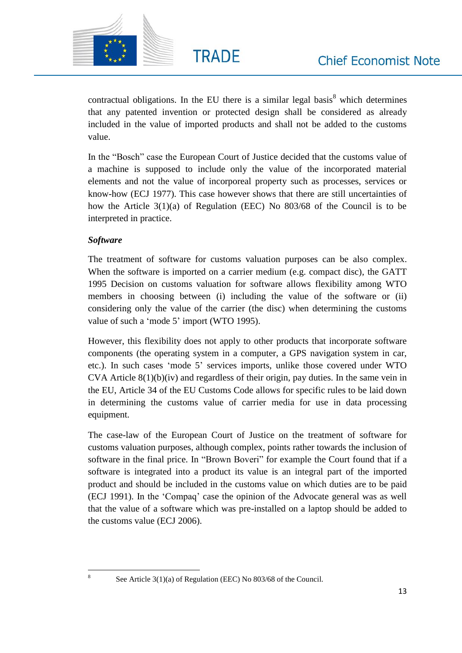

contractual obligations. In the EU there is a similar legal basis $8$  which determines that any patented invention or protected design shall be considered as already included in the value of imported products and shall not be added to the customs value.

In the "Bosch" case the European Court of Justice decided that the customs value of a machine is supposed to include only the value of the incorporated material elements and not the value of incorporeal property such as processes, services or know-how (ECJ 1977). This case however shows that there are still uncertainties of how the Article 3(1)(a) of Regulation (EEC) No 803/68 of the Council is to be interpreted in practice.

# *Software*

 $\overline{\phantom{a}}$ 8

The treatment of software for customs valuation purposes can be also complex. When the software is imported on a carrier medium (e.g. compact disc), the GATT 1995 Decision on customs valuation for software allows flexibility among WTO members in choosing between (i) including the value of the software or (ii) considering only the value of the carrier (the disc) when determining the customs value of such a 'mode 5' import (WTO 1995).

However, this flexibility does not apply to other products that incorporate software components (the operating system in a computer, a GPS navigation system in car, etc.). In such cases 'mode 5' services imports, unlike those covered under WTO CVA Article 8(1)(b)(iv) and regardless of their origin, pay duties. In the same vein in the EU, Article 34 of the EU Customs Code allows for specific rules to be laid down in determining the customs value of carrier media for use in data processing equipment.

The case-law of the European Court of Justice on the treatment of software for customs valuation purposes, although complex, points rather towards the inclusion of software in the final price. In "Brown Boveri" for example the Court found that if a software is integrated into a product its value is an integral part of the imported product and should be included in the customs value on which duties are to be paid (ECJ 1991). In the 'Compaq' case the opinion of the Advocate general was as well that the value of a software which was pre-installed on a laptop should be added to the customs value (ECJ 2006).

See Article 3(1)(a) of Regulation (EEC) No 803/68 of the Council.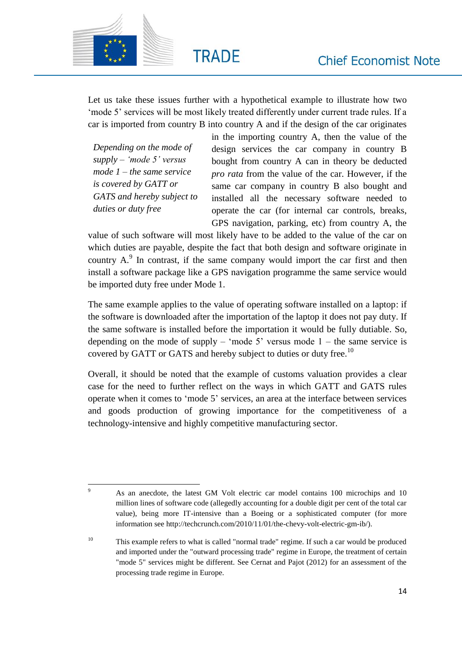

Let us take these issues further with a hypothetical example to illustrate how two 'mode 5' services will be most likely treated differently under current trade rules. If a car is imported from country B into country A and if the design of the car originates

**TRADE** 

*Depending on the mode of supply – 'mode 5' versus mode 1 – the same service is covered by GATT or GATS and hereby subject to duties or duty free*

 $\overline{Q}$ 

in the importing country A, then the value of the design services the car company in country B bought from country A can in theory be deducted *pro rata* from the value of the car. However, if the same car company in country B also bought and installed all the necessary software needed to operate the car (for internal car controls, breaks, GPS navigation, parking, etc) from country A, the

value of such software will most likely have to be added to the value of the car on which duties are payable, despite the fact that both design and software originate in country  $A$ .<sup>9</sup> In contrast, if the same company would import the car first and then install a software package like a GPS navigation programme the same service would be imported duty free under Mode 1.

The same example applies to the value of operating software installed on a laptop: if the software is downloaded after the importation of the laptop it does not pay duty. If the same software is installed before the importation it would be fully dutiable. So, depending on the mode of supply – 'mode 5' versus mode  $1$  – the same service is covered by GATT or GATS and hereby subject to duties or duty free.<sup>10</sup>

Overall, it should be noted that the example of customs valuation provides a clear case for the need to further reflect on the ways in which GATT and GATS rules operate when it comes to 'mode 5' services, an area at the interface between services and goods production of growing importance for the competitiveness of a technology-intensive and highly competitive manufacturing sector.

<sup>9</sup> As an anecdote, the latest GM Volt electric car model contains 100 microchips and 10 million lines of software code (allegedly accounting for a double digit per cent of the total car value), being more IT-intensive than a Boeing or a sophisticated computer (for more information see http://techcrunch.com/2010/11/01/the-chevy-volt-electric-gm-ib/).

<sup>&</sup>lt;sup>10</sup> This example refers to what is called "normal trade" regime. If such a car would be produced and imported under the "outward processing trade" regime in Europe, the treatment of certain "mode 5" services might be different. See Cernat and Pajot (2012) for an assessment of the processing trade regime in Europe.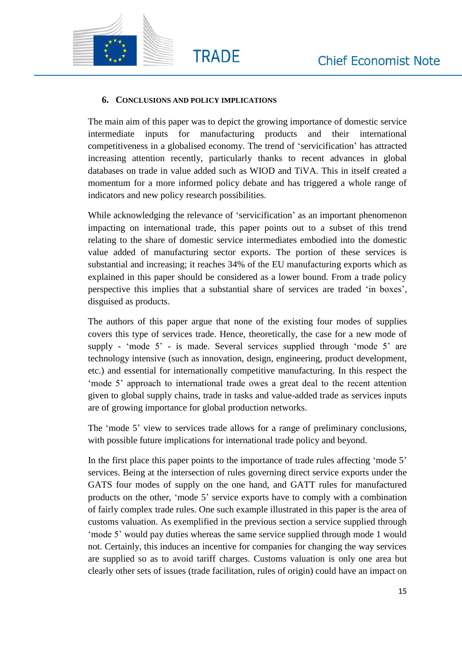

### **6. CONCLUSIONS AND POLICY IMPLICATIONS**

**TRADE** 

The main aim of this paper was to depict the growing importance of domestic service intermediate inputs for manufacturing products and their international competitiveness in a globalised economy. The trend of 'servicification' has attracted increasing attention recently, particularly thanks to recent advances in global databases on trade in value added such as WIOD and TiVA. This in itself created a momentum for a more informed policy debate and has triggered a whole range of indicators and new policy research possibilities.

While acknowledging the relevance of 'servicification' as an important phenomenon impacting on international trade, this paper points out to a subset of this trend relating to the share of domestic service intermediates embodied into the domestic value added of manufacturing sector exports. The portion of these services is substantial and increasing; it reaches 34% of the EU manufacturing exports which as explained in this paper should be considered as a lower bound. From a trade policy perspective this implies that a substantial share of services are traded 'in boxes', disguised as products.

The authors of this paper argue that none of the existing four modes of supplies covers this type of services trade. Hence, theoretically, the case for a new mode of supply - 'mode 5' - is made. Several services supplied through 'mode 5' are technology intensive (such as innovation, design, engineering, product development, etc.) and essential for internationally competitive manufacturing. In this respect the 'mode 5' approach to international trade owes a great deal to the recent attention given to global supply chains, trade in tasks and value-added trade as services inputs are of growing importance for global production networks.

The 'mode 5' view to services trade allows for a range of preliminary conclusions, with possible future implications for international trade policy and beyond.

In the first place this paper points to the importance of trade rules affecting 'mode 5' services. Being at the intersection of rules governing direct service exports under the GATS four modes of supply on the one hand, and GATT rules for manufactured products on the other, 'mode 5' service exports have to comply with a combination of fairly complex trade rules. One such example illustrated in this paper is the area of customs valuation. As exemplified in the previous section a service supplied through 'mode 5' would pay duties whereas the same service supplied through mode 1 would not. Certainly, this induces an incentive for companies for changing the way services are supplied so as to avoid tariff charges. Customs valuation is only one area but clearly other sets of issues (trade facilitation, rules of origin) could have an impact on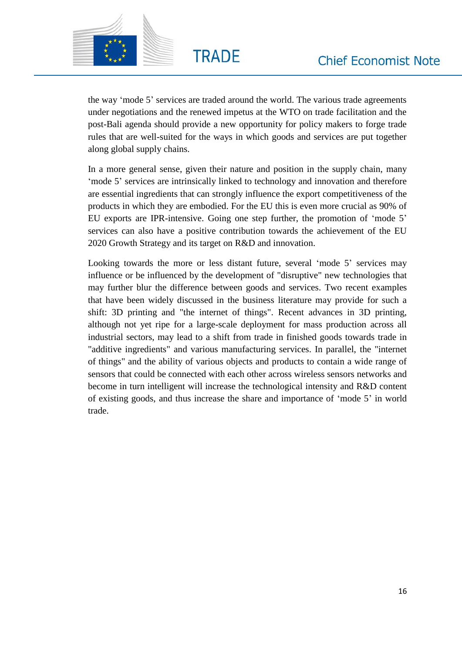

the way 'mode 5' services are traded around the world. The various trade agreements under negotiations and the renewed impetus at the WTO on trade facilitation and the post-Bali agenda should provide a new opportunity for policy makers to forge trade rules that are well-suited for the ways in which goods and services are put together along global supply chains.

**TRADE** 

In a more general sense, given their nature and position in the supply chain, many 'mode 5' services are intrinsically linked to technology and innovation and therefore are essential ingredients that can strongly influence the export competitiveness of the products in which they are embodied. For the EU this is even more crucial as 90% of EU exports are IPR-intensive. Going one step further, the promotion of 'mode 5' services can also have a positive contribution towards the achievement of the EU 2020 Growth Strategy and its target on R&D and innovation.

Looking towards the more or less distant future, several 'mode 5' services may influence or be influenced by the development of "disruptive" new technologies that may further blur the difference between goods and services. Two recent examples that have been widely discussed in the business literature may provide for such a shift: 3D printing and "the internet of things". Recent advances in 3D printing, although not yet ripe for a large-scale deployment for mass production across all industrial sectors, may lead to a shift from trade in finished goods towards trade in "additive ingredients" and various manufacturing services. In parallel, the "internet of things" and the ability of various objects and products to contain a wide range of sensors that could be connected with each other across wireless sensors networks and become in turn intelligent will increase the technological intensity and R&D content of existing goods, and thus increase the share and importance of 'mode 5' in world trade.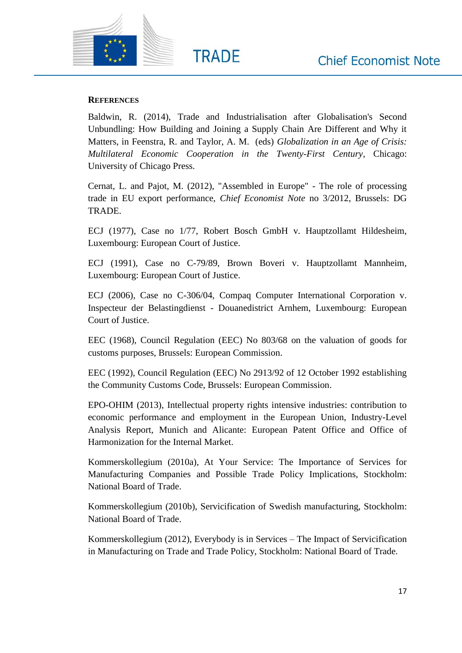

### **REFERENCES**

Baldwin, R. (2014), Trade and Industrialisation after Globalisation's Second Unbundling: How Building and Joining a Supply Chain Are Different and Why it Matters, in Feenstra, R. and Taylor, A. M. (eds) *Globalization in an Age of Crisis: Multilateral Economic Cooperation in the Twenty-First Century*, Chicago: University of Chicago Press.

**TRADE** 

Cernat, L. and Pajot, M. (2012), "Assembled in Europe" - The role of processing trade in EU export performance, *Chief Economist Note* no 3/2012, Brussels: DG TRADE.

ECJ (1977), Case no 1/77, Robert Bosch GmbH v. Hauptzollamt Hildesheim, Luxembourg: European Court of Justice.

ECJ (1991), Case no C-79/89, Brown Boveri v. Hauptzollamt Mannheim, Luxembourg: European Court of Justice.

ECJ (2006), Case no C-306/04, Compaq Computer International Corporation v. Inspecteur der Belastingdienst - Douanedistrict Arnhem, Luxembourg: European Court of Justice.

EEC (1968), Council Regulation (EEC) No 803/68 on the valuation of goods for customs purposes, Brussels: European Commission.

EEC (1992), Council Regulation (EEC) No 2913/92 of 12 October 1992 establishing the Community Customs Code, Brussels: European Commission.

EPO-OHIM (2013), Intellectual property rights intensive industries: contribution to economic performance and employment in the European Union, Industry-Level Analysis Report, Munich and Alicante: European Patent Office and Office of Harmonization for the Internal Market.

Kommerskollegium (2010a), At Your Service: The Importance of Services for Manufacturing Companies and Possible Trade Policy Implications, Stockholm: National Board of Trade.

Kommerskollegium (2010b), Servicification of Swedish manufacturing, Stockholm: National Board of Trade.

Kommerskollegium (2012), Everybody is in Services – The Impact of Servicification in Manufacturing on Trade and Trade Policy, Stockholm: National Board of Trade.